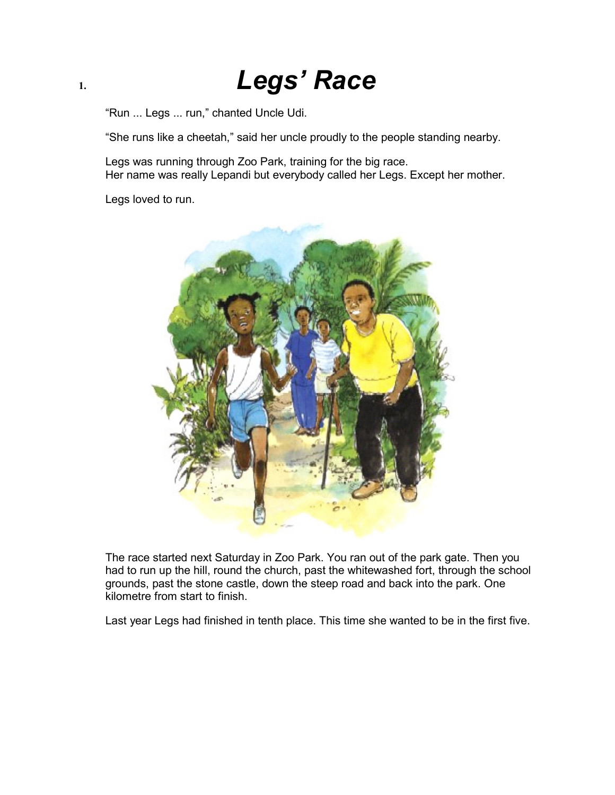## 1. Legs' Race

"Run ... Legs ... run," chanted Uncle Udi.

"She runs like a cheetah," said her uncle proudly to the people standing nearby.

 Legs was running through Zoo Park, training for the big race. Her name was really Lepandi but everybody called her Legs. Except her mother.

Legs loved to run.



 The race started next Saturday in Zoo Park. You ran out of the park gate. Then you had to run up the hill, round the church, past the whitewashed fort, through the school grounds, past the stone castle, down the steep road and back into the park. One kilometre from start to finish.

Last year Legs had finished in tenth place. This time she wanted to be in the first five.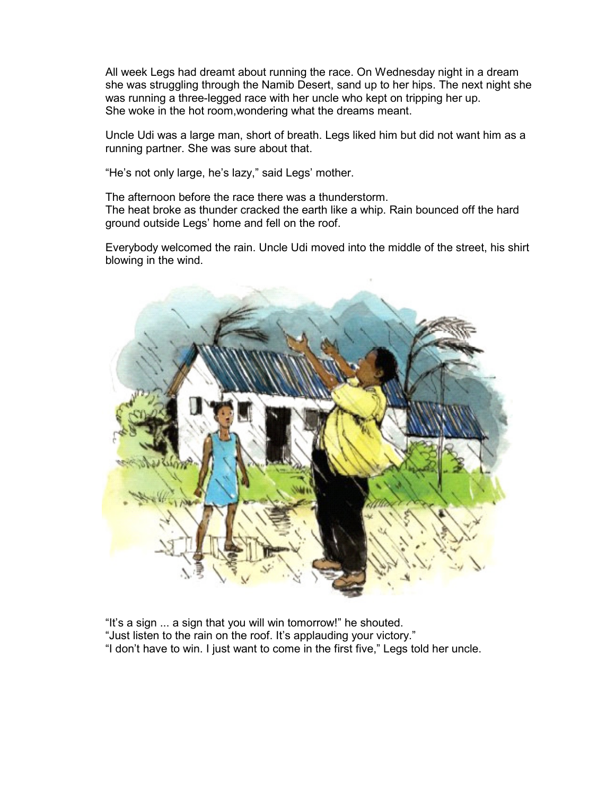All week Legs had dreamt about running the race. On Wednesday night in a dream she was struggling through the Namib Desert, sand up to her hips. The next night she was running a three-legged race with her uncle who kept on tripping her up. She woke in the hot room,wondering what the dreams meant.

 Uncle Udi was a large man, short of breath. Legs liked him but did not want him as a running partner. She was sure about that.

"He's not only large, he's lazy," said Legs' mother.

 The afternoon before the race there was a thunderstorm. The heat broke as thunder cracked the earth like a whip. Rain bounced off the hard ground outside Legs' home and fell on the roof.

 Everybody welcomed the rain. Uncle Udi moved into the middle of the street, his shirt blowing in the wind.



 "It's a sign ... a sign that you will win tomorrow!" he shouted. "Just listen to the rain on the roof. It's applauding your victory." "I don't have to win. I just want to come in the first five," Legs told her uncle.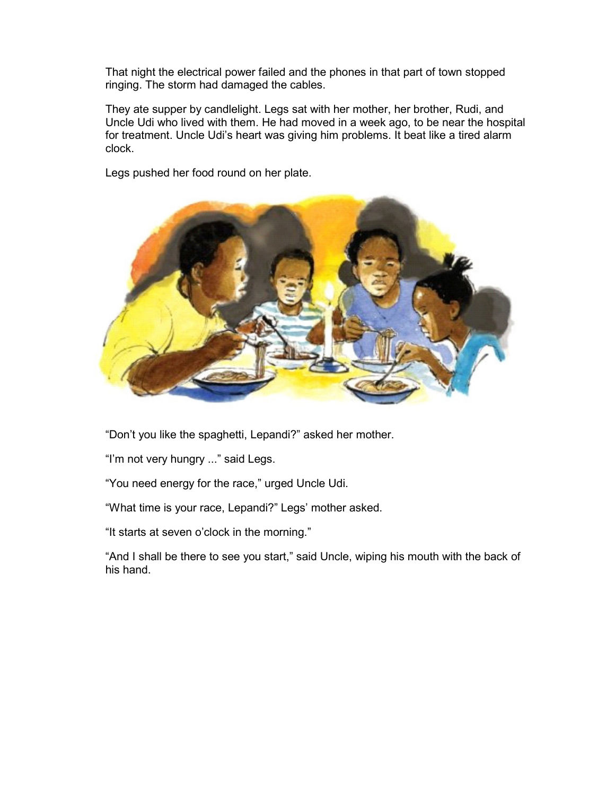That night the electrical power failed and the phones in that part of town stopped ringing. The storm had damaged the cables.

 They ate supper by candlelight. Legs sat with her mother, her brother, Rudi, and Uncle Udi who lived with them. He had moved in a week ago, to be near the hospital for treatment. Uncle Udi's heart was giving him problems. It beat like a tired alarm clock.

Legs pushed her food round on her plate.



"Don't you like the spaghetti, Lepandi?" asked her mother.

"I'm not very hungry ..." said Legs.

"You need energy for the race," urged Uncle Udi.

"What time is your race, Lepandi?" Legs' mother asked.

"It starts at seven o'clock in the morning."

 "And I shall be there to see you start," said Uncle, wiping his mouth with the back of his hand.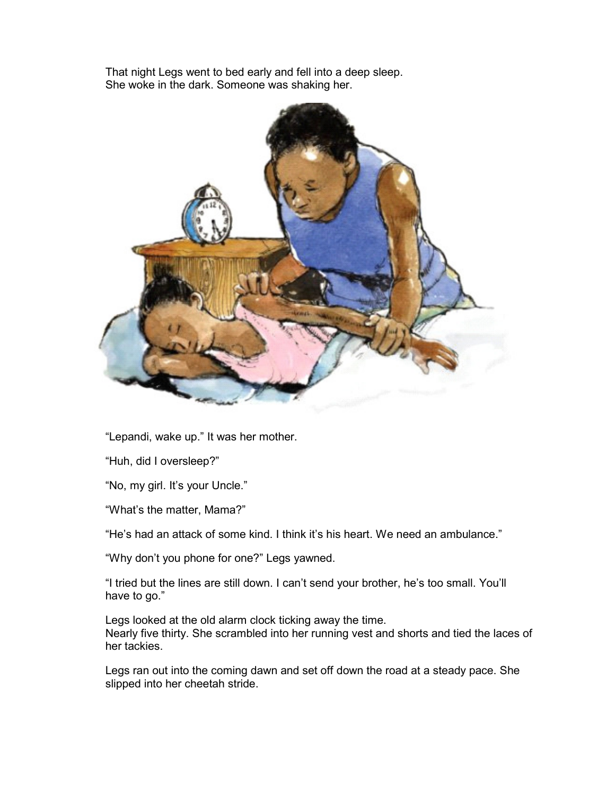That night Legs went to bed early and fell into a deep sleep. She woke in the dark. Someone was shaking her.



"Lepandi, wake up." It was her mother.

"Huh, did I oversleep?"

"No, my girl. It's your Uncle."

"What's the matter, Mama?"

"He's had an attack of some kind. I think it's his heart. We need an ambulance."

"Why don't you phone for one?" Legs yawned.

 "I tried but the lines are still down. I can't send your brother, he's too small. You'll have to go."

 Legs looked at the old alarm clock ticking away the time. Nearly five thirty. She scrambled into her running vest and shorts and tied the laces of her tackies.

 Legs ran out into the coming dawn and set off down the road at a steady pace. She slipped into her cheetah stride.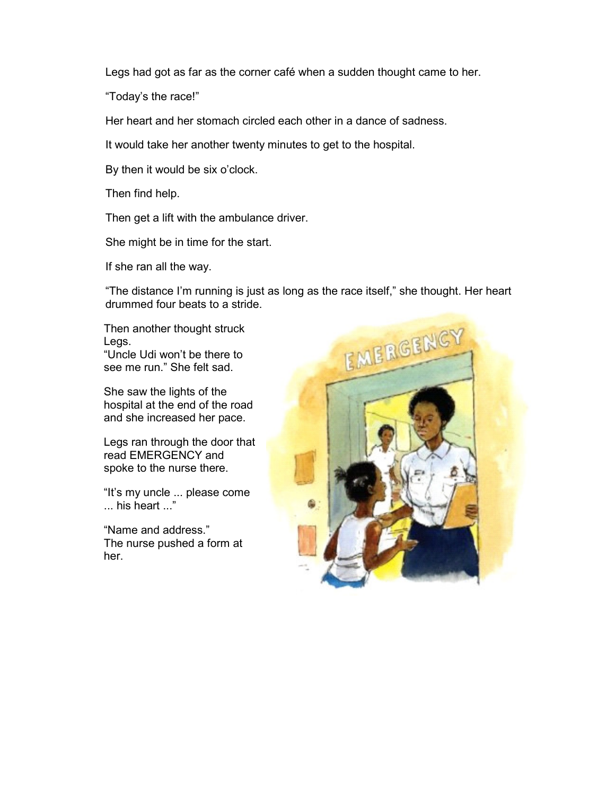Legs had got as far as the corner café when a sudden thought came to her.

"Today's the race!"

Her heart and her stomach circled each other in a dance of sadness.

It would take her another twenty minutes to get to the hospital.

By then it would be six o'clock.

Then find help.

Then get a lift with the ambulance driver.

She might be in time for the start.

If she ran all the way.

 "The distance I'm running is just as long as the race itself," she thought. Her heart drummed four beats to a stride.

Then another thought struck Legs. "Uncle Udi won't be there to see me run." She felt sad.

She saw the lights of the hospital at the end of the road and she increased her pace.

Legs ran through the door that read EMERGENCY and spoke to the nurse there.

"It's my uncle ... please come ... his heart ..."

"Name and address." The nurse pushed a form at her.

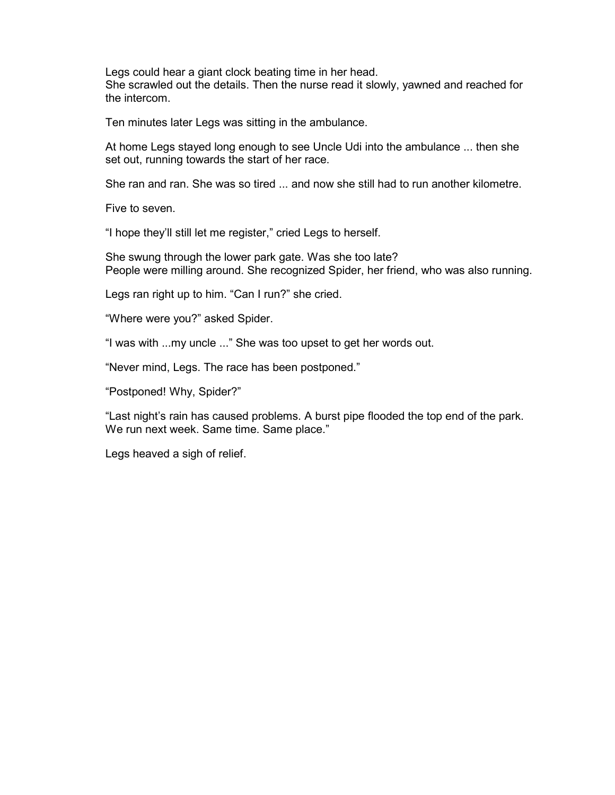Legs could hear a giant clock beating time in her head. She scrawled out the details. Then the nurse read it slowly, yawned and reached for the intercom.

Ten minutes later Legs was sitting in the ambulance.

 At home Legs stayed long enough to see Uncle Udi into the ambulance ... then she set out, running towards the start of her race.

She ran and ran. She was so tired ... and now she still had to run another kilometre.

Five to seven.

"I hope they'll still let me register," cried Legs to herself.

 She swung through the lower park gate. Was she too late? People were milling around. She recognized Spider, her friend, who was also running.

Legs ran right up to him. "Can I run?" she cried.

"Where were you?" asked Spider.

"I was with ...my uncle ..." She was too upset to get her words out.

"Never mind, Legs. The race has been postponed."

"Postponed! Why, Spider?"

 "Last night's rain has caused problems. A burst pipe flooded the top end of the park. We run next week. Same time. Same place."

Legs heaved a sigh of relief.